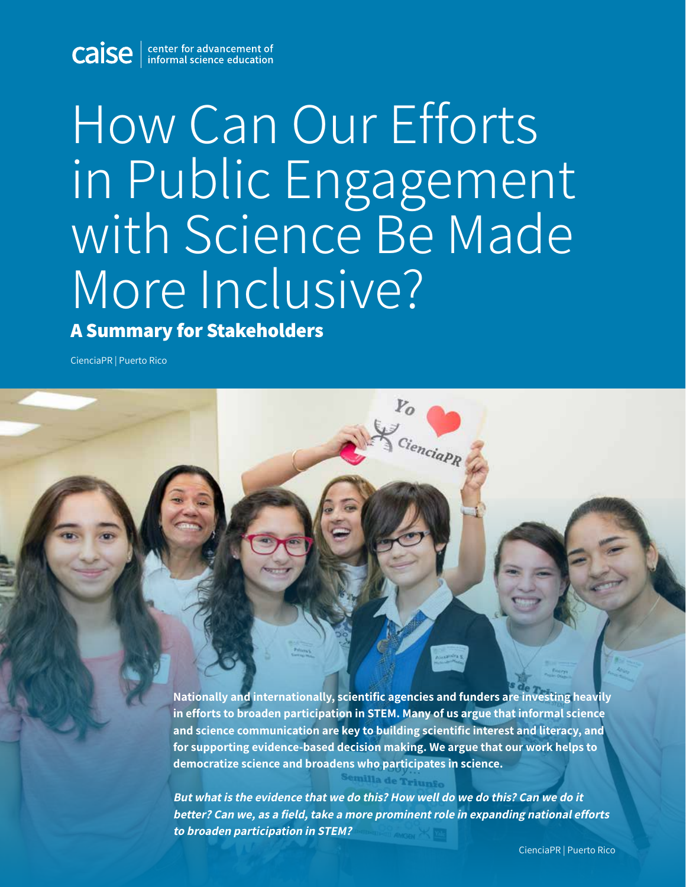**Caise** enter for advancement of

# How Can Our Efforts in Public Engagement with Science Be Made More Inclusive?

#### **A Summary for Stakeholders**

CienciaPR | Puerto Rico

**Nationally and internationally, scientific agencies and funders are investing heavily in efforts to broaden participation in STEM. Many of us argue that informal science and science communication are key to building scientific interest and literacy, and for supporting evidence-based decision making. We argue that our work helps to democratize science and broadens who participates in science.** 

Cienciap R

**But what is the evidence that we do this? How well do we do this? Can we do it better? Can we, as a field, take a more prominent role in expanding national efforts to broaden participation in STEM?**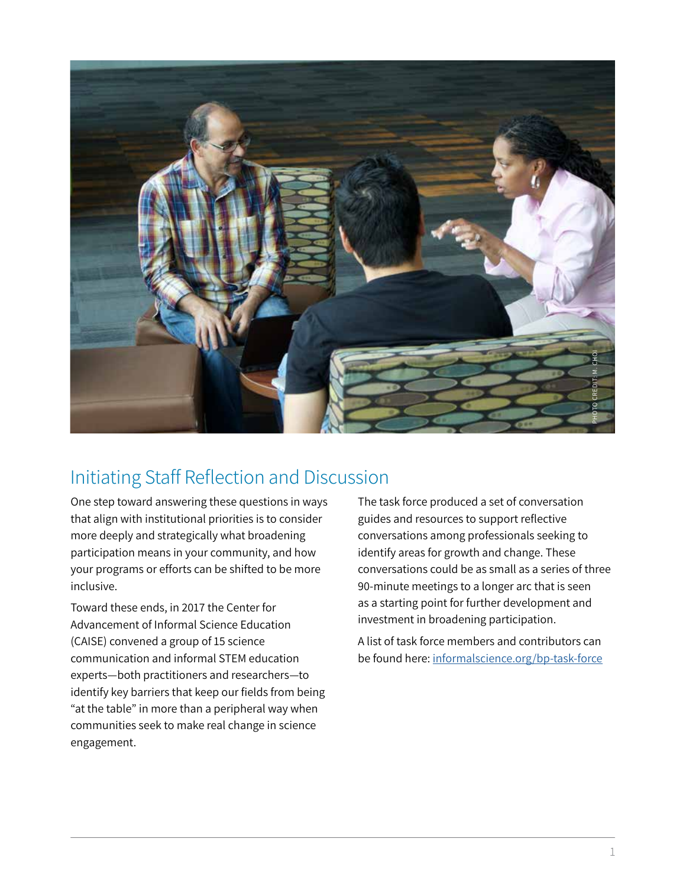

### Initiating Staff Reflection and Discussion

One step toward answering these questions in ways that align with institutional priorities is to consider more deeply and strategically what broadening participation means in your community, and how your programs or efforts can be shifted to be more inclusive.

Toward these ends, in 2017 the Center for Advancement of Informal Science Education (CAISE) convened a group of 15 science communication and informal STEM education experts—both practitioners and researchers—to identify key barriers that keep our fields from being "at the table" in more than a peripheral way when communities seek to make real change in science engagement.

The task force produced a set of conversation guides and resources to support reflective conversations among professionals seeking to identify areas for growth and change. These conversations could be as small as a series of three 90-minute meetings to a longer arc that is seen as a starting point for further development and investment in broadening participation. Be found the task force produced a set of conversation<br>guides and resources to support reflective<br>conversations among professionals seeking to<br>identify areas for growth and change. These<br>conversations could be as small as

A list of task force members and contributors can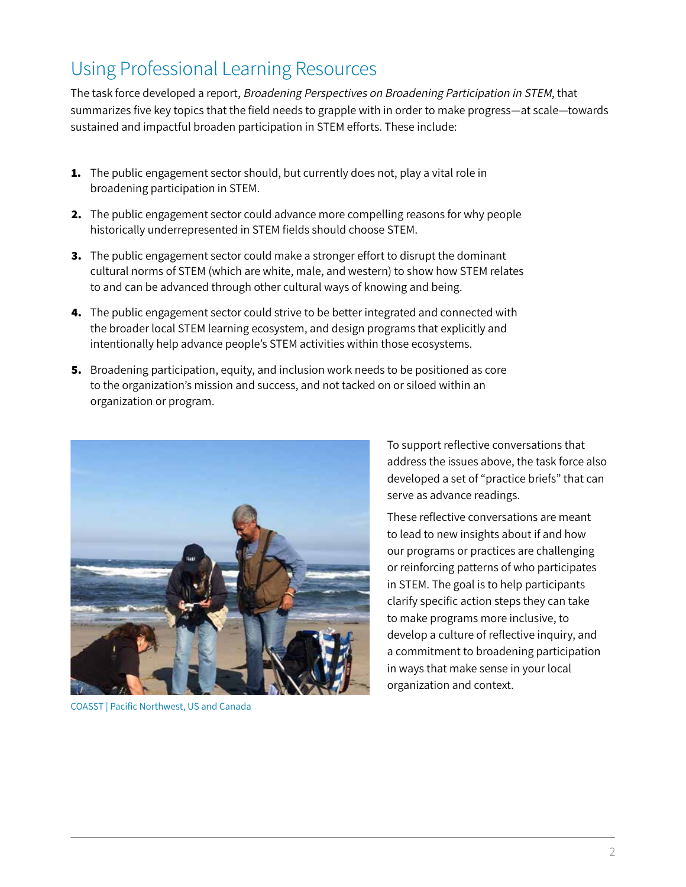# Using Professional Learning Resources

The task force developed a report, Broadening Perspectives on Broadening Participation in STEM, that summarizes five key topics that the field needs to grapple with in order to make progress—at scale—towards sustained and impactful broaden participation in STEM efforts. These include:

- **1.** The public engagement sector should, but currently does not, play a vital role in broadening participation in STEM.
- **2.** The public engagement sector could advance more compelling reasons for why people historically underrepresented in STEM fields should choose STEM.
- **3.** The public engagement sector could make a stronger effort to disrupt the dominant cultural norms of STEM (which are white, male, and western) to show how STEM relates to and can be advanced through other cultural ways of knowing and being.
- **4.** The public engagement sector could strive to be better integrated and connected with the broader local STEM learning ecosystem, and design programs that explicitly and intentionally help advance people's STEM activities within those ecosystems.
- **5.** Broadening participation, equity, and inclusion work needs to be positioned as core to the organization's mission and success, and not tacked on or siloed within an organization or program.



COASST | Pacific Northwest, US and Canada

To support reflective conversations that address the issues above, the task force also developed a set of "practice briefs" that can serve as advance readings.

These reflective conversations are meant to lead to new insights about if and how our programs or practices are challenging or reinforcing patterns of who participates in STEM. The goal is to help participants clarify specific action steps they can take to make programs more inclusive, to develop a culture of reflective inquiry, and a commitment to broadening participation in ways that make sense in your local organization and context.